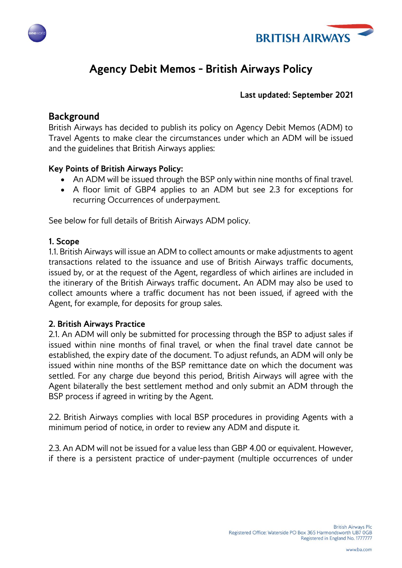



# **Agency Debit Memos - British Airways Policy**

#### **Last updated: September 2021**

### **Background**

British Airways has decided to publish its policy on Agency Debit Memos (ADM) to Travel Agents to make clear the circumstances under which an ADM will be issued and the guidelines that British Airways applies:

#### **Key Points of British Airways Policy:**

- An ADM will be issued through the BSP only within nine months of final travel.
- A floor limit of GBP4 applies to an ADM but see 2.3 for exceptions for recurring Occurrences of underpayment.

See below for full details of British Airways ADM policy.

#### **1. Scope**

1.1. British Airways will issue an ADM to collect amounts or make adjustments to agent transactions related to the issuance and use of British Airways traffic documents, issued by, or at the request of the Agent, regardless of which airlines are included in the itinerary of the British Airways traffic document**.** An ADM may also be used to collect amounts where a traffic document has not been issued, if agreed with the Agent, for example, for deposits for group sales.

#### **2. British Airways Practice**

2.1. An ADM will only be submitted for processing through the BSP to adjust sales if issued within nine months of final travel, or when the final travel date cannot be established, the expiry date of the document. To adjust refunds, an ADM will only be issued within nine months of the BSP remittance date on which the document was settled. For any charge due beyond this period, British Airways will agree with the Agent bilaterally the best settlement method and only submit an ADM through the BSP process if agreed in writing by the Agent.

2.2. British Airways complies with local BSP procedures in providing Agents with a minimum period of notice, in order to review any ADM and dispute it.

2.3. An ADM will not be issued for a value less than GBP 4.00 or equivalent. However, if there is a persistent practice of under-payment (multiple occurrences of under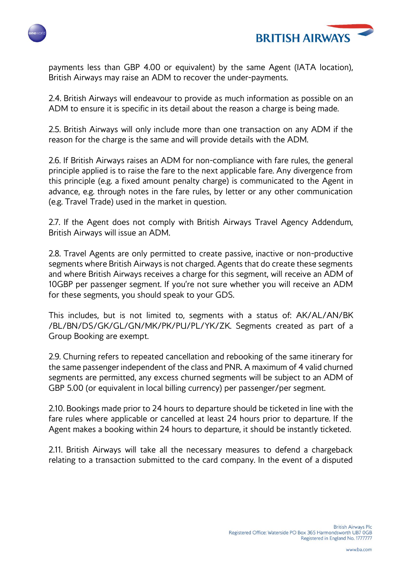



payments less than GBP 4.00 or equivalent) by the same Agent (IATA location), British Airways may raise an ADM to recover the under-payments.

2.4. British Airways will endeavour to provide as much information as possible on an ADM to ensure it is specific in its detail about the reason a charge is being made.

2.5. British Airways will only include more than one transaction on any ADM if the reason for the charge is the same and will provide details with the ADM.

2.6. If British Airways raises an ADM for non-compliance with fare rules, the general principle applied is to raise the fare to the next applicable fare. Any divergence from this principle (e.g. a fixed amount penalty charge) is communicated to the Agent in advance, e.g. through notes in the fare rules, by letter or any other communication (e.g. Travel Trade) used in the market in question.

2.7. If the Agent does not comply with British Airways Travel Agency Addendum, British Airways will issue an ADM.

2.8. Travel Agents are only permitted to create passive, inactive or non-productive segments where British Airways is not charged. Agents that do create these segments and where British Airways receives a charge for this segment, will receive an ADM of 10GBP per passenger segment. If you're not sure whether you will receive an ADM for these segments, you should speak to your GDS.

This includes, but is not limited to, segments with a status of: AK/AL/AN/BK /BL/BN/DS/GK/GL/GN/MK/PK/PU/PL/YK/ZK. Segments created as part of a Group Booking are exempt.

2.9. Churning refers to repeated cancellation and rebooking of the same itinerary for the same passenger independent of the class and PNR. A maximum of 4 valid churned segments are permitted, any excess churned segments will be subject to an ADM of GBP 5.00 (or equivalent in local billing currency) per passenger/per segment.

2.10. Bookings made prior to 24 hours to departure should be ticketed in line with the fare rules where applicable or cancelled at least 24 hours prior to departure. If the Agent makes a booking within 24 hours to departure, it should be instantly ticketed.

2.11. British Airways will take all the necessary measures to defend a chargeback relating to a transaction submitted to the card company. In the event of a disputed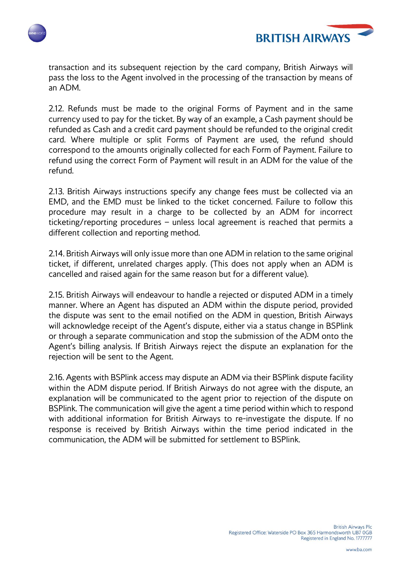



transaction and its subsequent rejection by the card company, British Airways will pass the loss to the Agent involved in the processing of the transaction by means of an ADM.

2.12. Refunds must be made to the original Forms of Payment and in the same currency used to pay for the ticket. By way of an example, a Cash payment should be refunded as Cash and a credit card payment should be refunded to the original credit card. Where multiple or split Forms of Payment are used, the refund should correspond to the amounts originally collected for each Form of Payment. Failure to refund using the correct Form of Payment will result in an ADM for the value of the refund.

2.13. British Airways instructions specify any change fees must be collected via an EMD, and the EMD must be linked to the ticket concerned. Failure to follow this procedure may result in a charge to be collected by an ADM for incorrect ticketing/reporting procedures – unless local agreement is reached that permits a different collection and reporting method.

2.14. British Airways will only issue more than one ADM in relation to the same original ticket, if different, unrelated charges apply. (This does not apply when an ADM is cancelled and raised again for the same reason but for a different value).

2.15. British Airways will endeavour to handle a rejected or disputed ADM in a timely manner. Where an Agent has disputed an ADM within the dispute period, provided the dispute was sent to the email notified on the ADM in question, British Airways will acknowledge receipt of the Agent's dispute, either via a status change in BSPlink or through a separate communication and stop the submission of the ADM onto the Agent's billing analysis. If British Airways reject the dispute an explanation for the rejection will be sent to the Agent.

2.16. Agents with BSPlink access may dispute an ADM via their BSPlink dispute facility within the ADM dispute period. If British Airways do not agree with the dispute, an explanation will be communicated to the agent prior to rejection of the dispute on BSPlink. The communication will give the agent a time period within which to respond with additional information for British Airways to re-investigate the dispute. If no response is received by British Airways within the time period indicated in the communication, the ADM will be submitted for settlement to BSPlink.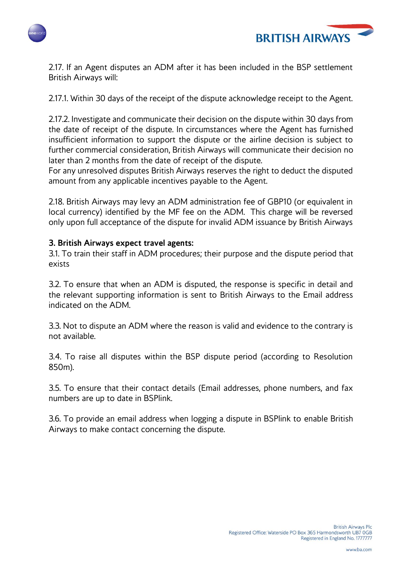



2.17. If an Agent disputes an ADM after it has been included in the BSP settlement British Airways will:

2.17.1. Within 30 days of the receipt of the dispute acknowledge receipt to the Agent.

2.17.2. Investigate and communicate their decision on the dispute within 30 days from the date of receipt of the dispute. In circumstances where the Agent has furnished insufficient information to support the dispute or the airline decision is subject to further commercial consideration, British Airways will communicate their decision no later than 2 months from the date of receipt of the dispute.

For any unresolved disputes British Airways reserves the right to deduct the disputed amount from any applicable incentives payable to the Agent.

2.18. British Airways may levy an ADM administration fee of GBP10 (or equivalent in local currency) identified by the MF fee on the ADM. This charge will be reversed only upon full acceptance of the dispute for invalid ADM issuance by British Airways

#### **3. British Airways expect travel agents:**

3.1. To train their staff in ADM procedures; their purpose and the dispute period that exists

3.2. To ensure that when an ADM is disputed, the response is specific in detail and the relevant supporting information is sent to British Airways to the Email address indicated on the ADM.

3.3. Not to dispute an ADM where the reason is valid and evidence to the contrary is not available.

3.4. To raise all disputes within the BSP dispute period (according to Resolution 850m).

3.5. To ensure that their contact details (Email addresses, phone numbers, and fax numbers are up to date in BSPlink.

3.6. To provide an email address when logging a dispute in BSPlink to enable British Airways to make contact concerning the dispute.